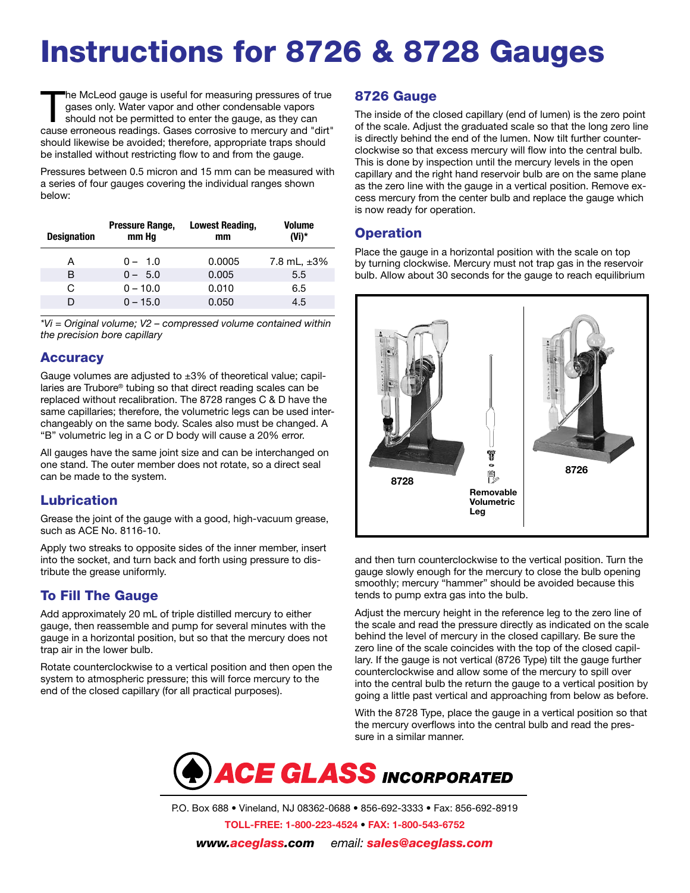# Instructions for 8726 & 8728 Gauges

The McLeod gauge is useful for measuring pressures of true<br>gases only. Water vapor and other condensable vapors<br>should not be permitted to enter the gauge, as they can gases only. Water vapor and other condensable vapors cause erroneous readings. Gases corrosive to mercury and "dirt" should likewise be avoided; therefore, appropriate traps should be installed without restricting flow to and from the gauge.

Pressures between 0.5 micron and 15 mm can be measured with a series of four gauges covering the individual ranges shown below:

| <b>Designation</b> | Pressure Range,<br>mm Hg | <b>Lowest Reading,</b><br>mm | <b>Volume</b><br>(Vi)* |
|--------------------|--------------------------|------------------------------|------------------------|
| A                  | $0 - 1.0$                | 0.0005                       | 7.8 mL, $\pm 3\%$      |
| B                  | $0 - 5.0$                | 0.005                        | 5.5                    |
| G                  | $0 - 10.0$               | 0.010                        | 6.5                    |
|                    | $0 - 15.0$               | 0.050                        | 4.5                    |

*\*Vi = Original volume; V2 – compressed volume contained within the precision bore capillary*

#### **Accuracy**

Gauge volumes are adjusted to  $\pm 3\%$  of theoretical value; capillaries are Trubore® tubing so that direct reading scales can be replaced without recalibration. The 8728 ranges C & D have the same capillaries; therefore, the volumetric legs can be used interchangeably on the same body. Scales also must be changed. A "B" volumetric leg in a C or D body will cause a 20% error.

All gauges have the same joint size and can be interchanged on one stand. The outer member does not rotate, so a direct seal can be made to the system.

## Lubrication

Grease the joint of the gauge with a good, high-vacuum grease, such as ACE No. 8116-10.

Apply two streaks to opposite sides of the inner member, insert into the socket, and turn back and forth using pressure to distribute the grease uniformly.

#### To Fill The Gauge

Add approximately 20 mL of triple distilled mercury to either gauge, then reassemble and pump for several minutes with the gauge in a horizontal position, but so that the mercury does not trap air in the lower bulb.

Rotate counterclockwise to a vertical position and then open the system to atmospheric pressure; this will force mercury to the end of the closed capillary (for all practical purposes).

#### 8726 Gauge

The inside of the closed capillary (end of lumen) is the zero point of the scale. Adjust the graduated scale so that the long zero line is directly behind the end of the lumen. Now tilt further counterclockwise so that excess mercury will flow into the central bulb. This is done by inspection until the mercury levels in the open capillary and the right hand reservoir bulb are on the same plane as the zero line with the gauge in a vertical position. Remove excess mercury from the center bulb and replace the gauge which is now ready for operation.

### **Operation**

Place the gauge in a horizontal position with the scale on top by turning clockwise. Mercury must not trap gas in the reservoir bulb. Allow about 30 seconds for the gauge to reach equilibrium



and then turn counterclockwise to the vertical position. Turn the gauge slowly enough for the mercury to close the bulb opening smoothly; mercury "hammer" should be avoided because this tends to pump extra gas into the bulb.

Adjust the mercury height in the reference leg to the zero line of the scale and read the pressure directly as indicated on the scale behind the level of mercury in the closed capillary. Be sure the zero line of the scale coincides with the top of the closed capillary. If the gauge is not vertical (8726 Type) tilt the gauge further counterclockwise and allow some of the mercury to spill over into the central bulb the return the gauge to a vertical position by going a little past vertical and approaching from below as before.

With the 8728 Type, place the gauge in a vertical position so that the mercury overflows into the central bulb and read the pressure in a similar manner.



P.O. Box 688 • Vineland, NJ 08362-0688 • 856-692-3333 • Fax: 856-692-8919 TOLL-FREE: 1-800-223-4524 • FAX: 1-800-543-6752 *www.aceglass.com email: sales@aceglass.com*